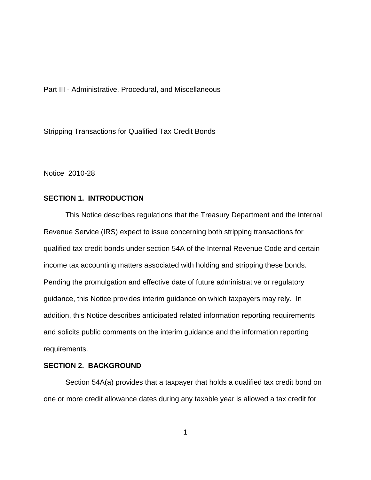Part III - Administrative, Procedural, and Miscellaneous

Stripping Transactions for Qualified Tax Credit Bonds

Notice 2010-28

# **SECTION 1. INTRODUCTION**

This Notice describes regulations that the Treasury Department and the Internal Revenue Service (IRS) expect to issue concerning both stripping transactions for qualified tax credit bonds under section 54A of the Internal Revenue Code and certain income tax accounting matters associated with holding and stripping these bonds. Pending the promulgation and effective date of future administrative or regulatory guidance, this Notice provides interim guidance on which taxpayers may rely. In addition, this Notice describes anticipated related information reporting requirements and solicits public comments on the interim guidance and the information reporting requirements.

# **SECTION 2. BACKGROUND**

Section 54A(a) provides that a taxpayer that holds a qualified tax credit bond on one or more credit allowance dates during any taxable year is allowed a tax credit for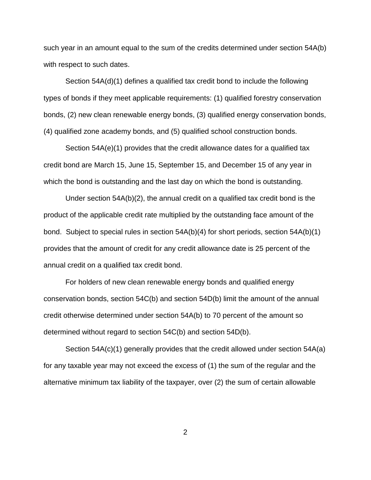such year in an amount equal to the sum of the credits determined under section 54A(b) with respect to such dates.

Section 54A(d)(1) defines a qualified tax credit bond to include the following types of bonds if they meet applicable requirements: (1) qualified forestry conservation bonds, (2) new clean renewable energy bonds, (3) qualified energy conservation bonds, (4) qualified zone academy bonds, and (5) qualified school construction bonds.

Section 54A(e)(1) provides that the credit allowance dates for a qualified tax credit bond are March 15, June 15, September 15, and December 15 of any year in which the bond is outstanding and the last day on which the bond is outstanding.

Under section 54A(b)(2), the annual credit on a qualified tax credit bond is the product of the applicable credit rate multiplied by the outstanding face amount of the bond. Subject to special rules in section 54A(b)(4) for short periods, section 54A(b)(1) provides that the amount of credit for any credit allowance date is 25 percent of the annual credit on a qualified tax credit bond.

For holders of new clean renewable energy bonds and qualified energy conservation bonds, section 54C(b) and section 54D(b) limit the amount of the annual credit otherwise determined under section 54A(b) to 70 percent of the amount so determined without regard to section 54C(b) and section 54D(b).

Section 54A(c)(1) generally provides that the credit allowed under section 54A(a) for any taxable year may not exceed the excess of (1) the sum of the regular and the alternative minimum tax liability of the taxpayer, over (2) the sum of certain allowable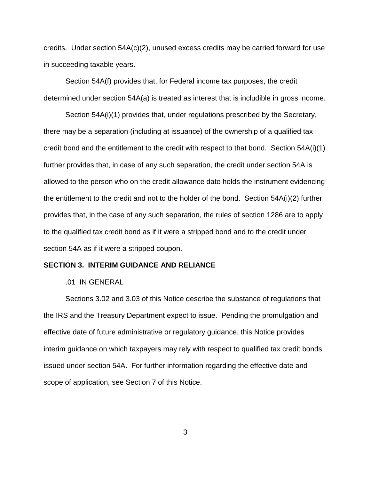credits. Under section  $54A(c)(2)$ , unused excess credits may be carried forward for use in succeeding taxable years.

Section 54A(f) provides that, for Federal income tax purposes, the credit determined under section 54A(a) is treated as interest that is includible in gross income.

Section 54A(i)(1) provides that, under regulations prescribed by the Secretary, there may be a separation (including at issuance) of the ownership of a qualified tax credit bond and the entitlement to the credit with respect to that bond. Section 54A(i)(1) further provides that, in case of any such separation, the credit under section 54A is allowed to the person who on the credit allowance date holds the instrument evidencing the entitlement to the credit and not to the holder of the bond. Section 54A(i)(2) further provides that, in the case of any such separation, the rules of section 1286 are to apply to the qualified tax credit bond as if it were a stripped bond and to the credit under section 54A as if it were a stripped coupon.

#### **SECTION 3. INTERIM GUIDANCE AND RELIANCE**

#### .01 IN GENERAL

Sections 3.02 and 3.03 of this Notice describe the substance of regulations that the IRS and the Treasury Department expect to issue. Pending the promulgation and effective date of future administrative or regulatory guidance, this Notice provides interim guidance on which taxpayers may rely with respect to qualified tax credit bonds issued under section 54A. For further information regarding the effective date and scope of application, see Section 7 of this Notice.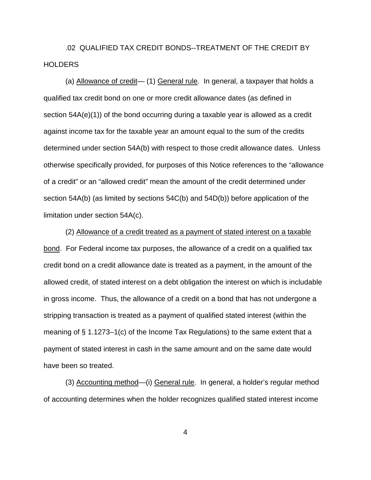.02 QUALIFIED TAX CREDIT BONDS--TREATMENT OF THE CREDIT BY **HOLDERS** 

(a) Allowance of credit— (1) General rule. In general, a taxpayer that holds a qualified tax credit bond on one or more credit allowance dates (as defined in section 54A(e)(1)) of the bond occurring during a taxable year is allowed as a credit against income tax for the taxable year an amount equal to the sum of the credits determined under section 54A(b) with respect to those credit allowance dates. Unless otherwise specifically provided, for purposes of this Notice references to the "allowance of a credit" or an "allowed credit" mean the amount of the credit determined under section 54A(b) (as limited by sections 54C(b) and 54D(b)) before application of the limitation under section 54A(c).

(2) Allowance of a credit treated as a payment of stated interest on a taxable bond. For Federal income tax purposes, the allowance of a credit on a qualified tax credit bond on a credit allowance date is treated as a payment, in the amount of the allowed credit, of stated interest on a debt obligation the interest on which is includable in gross income. Thus, the allowance of a credit on a bond that has not undergone a stripping transaction is treated as a payment of qualified stated interest (within the meaning of § 1.1273–1(c) of the Income Tax Regulations) to the same extent that a payment of stated interest in cash in the same amount and on the same date would have been so treated.

(3) Accounting method—(i) General rule. In general, a holder's regular method of accounting determines when the holder recognizes qualified stated interest income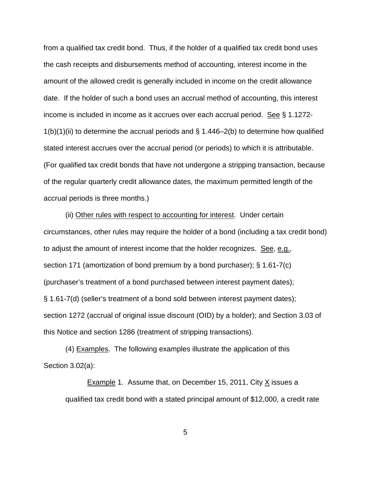from a qualified tax credit bond. Thus, if the holder of a qualified tax credit bond uses the cash receipts and disbursements method of accounting, interest income in the amount of the allowed credit is generally included in income on the credit allowance date. If the holder of such a bond uses an accrual method of accounting, this interest income is included in income as it accrues over each accrual period. See § 1.1272-  $1(b)(1)(ii)$  to determine the accrual periods and § 1.446–2(b) to determine how qualified stated interest accrues over the accrual period (or periods) to which it is attributable. (For qualified tax credit bonds that have not undergone a stripping transaction, because of the regular quarterly credit allowance dates, the maximum permitted length of the accrual periods is three months.)

(ii) Other rules with respect to accounting for interest. Under certain circumstances, other rules may require the holder of a bond (including a tax credit bond) to adjust the amount of interest income that the holder recognizes. See, e.g., section 171 (amortization of bond premium by a bond purchaser); § 1.61-7(c) (purchaser's treatment of a bond purchased between interest payment dates); § 1.61-7(d) (seller's treatment of a bond sold between interest payment dates); section 1272 (accrual of original issue discount (OID) by a holder); and Section 3.03 of this Notice and section 1286 (treatment of stripping transactions).

(4) Examples. The following examples illustrate the application of this Section 3.02(a):

**Example 1.** Assume that, on December 15, 2011, City  $\times$  issues a qualified tax credit bond with a stated principal amount of \$12,000, a credit rate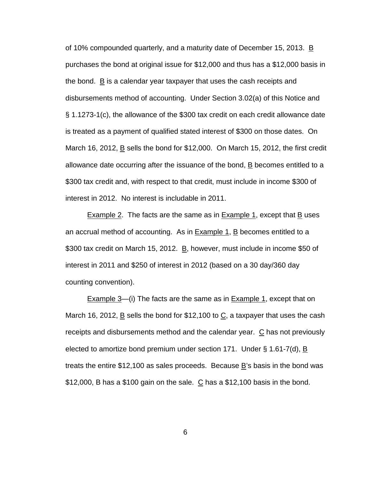of 10% compounded quarterly, and a maturity date of December 15, 2013. B purchases the bond at original issue for \$12,000 and thus has a \$12,000 basis in the bond. B is a calendar year taxpayer that uses the cash receipts and disbursements method of accounting. Under Section 3.02(a) of this Notice and § 1.1273-1(c), the allowance of the \$300 tax credit on each credit allowance date is treated as a payment of qualified stated interest of \$300 on those dates. On March 16, 2012, B sells the bond for \$12,000. On March 15, 2012, the first credit allowance date occurring after the issuance of the bond, B becomes entitled to a \$300 tax credit and, with respect to that credit, must include in income \$300 of interest in 2012. No interest is includable in 2011.

Example 2. The facts are the same as in Example 1, except that  $\underline{B}$  uses an accrual method of accounting. As in **Example 1, B** becomes entitled to a \$300 tax credit on March 15, 2012. B, however, must include in income \$50 of interest in 2011 and \$250 of interest in 2012 (based on a 30 day/360 day counting convention).

Example 3—(i) The facts are the same as in Example 1, except that on March 16, 2012,  $\underline{B}$  sells the bond for \$12,100 to  $\underline{C}$ , a taxpayer that uses the cash receipts and disbursements method and the calendar year.  $C$  has not previously elected to amortize bond premium under section 171. Under  $\S$  1.61-7(d),  $\underline{B}$ treats the entire \$12,100 as sales proceeds. Because B's basis in the bond was  $$12,000$ , B has a  $$100$  gain on the sale.  $~\underline{C}$  has a  $$12,100$  basis in the bond.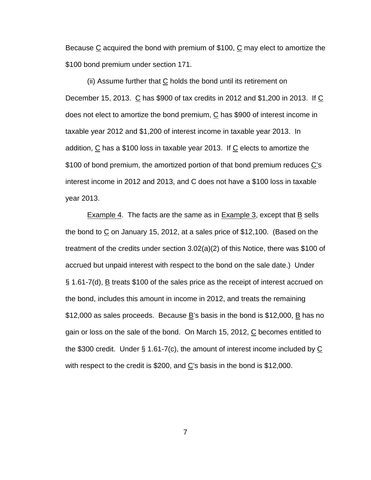Because  $\underline{C}$  acquired the bond with premium of \$100,  $\underline{C}$  may elect to amortize the \$100 bond premium under section 171.

(ii) Assume further that  $C$  holds the bond until its retirement on December 15, 2013. C has \$900 of tax credits in 2012 and \$1,200 in 2013. If C does not elect to amortize the bond premium,  $C$  has \$900 of interest income in taxable year 2012 and \$1,200 of interest income in taxable year 2013. In addition,  $\underline{C}$  has a \$100 loss in taxable year 2013. If  $\underline{C}$  elects to amortize the \$100 of bond premium, the amortized portion of that bond premium reduces C's interest income in 2012 and 2013, and C does not have a \$100 loss in taxable year 2013.

Example 4. The facts are the same as in Example 3, except that  $\overline{B}$  sells the bond to  $C$  on January 15, 2012, at a sales price of \$12,100. (Based on the treatment of the credits under section 3.02(a)(2) of this Notice, there was \$100 of accrued but unpaid interest with respect to the bond on the sale date.) Under § 1.61-7(d), <u>B</u> treats \$100 of the sales price as the receipt of interest accrued on the bond, includes this amount in income in 2012, and treats the remaining \$12,000 as sales proceeds. Because  $\underline{B}$ 's basis in the bond is \$12,000,  $\underline{B}$  has no gain or loss on the sale of the bond. On March 15, 2012,  $C$  becomes entitled to the \$300 credit. Under § 1.61-7(c), the amount of interest income included by  $\underline{C}$ with respect to the credit is \$200, and  $C$ 's basis in the bond is \$12,000.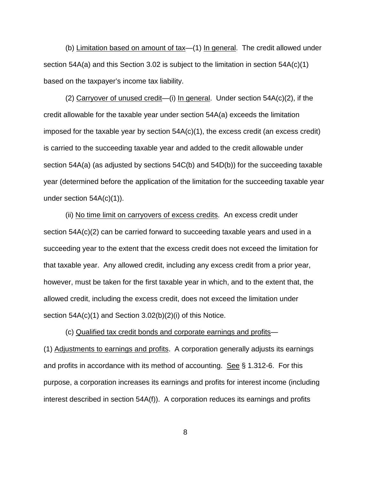(b) Limitation based on amount of tax—(1) In general. The credit allowed under section 54A(a) and this Section 3.02 is subject to the limitation in section 54A(c)(1) based on the taxpayer's income tax liability.

(2) Carryover of unused credit—(i) In general. Under section 54A(c)(2), if the credit allowable for the taxable year under section 54A(a) exceeds the limitation imposed for the taxable year by section  $54A(c)(1)$ , the excess credit (an excess credit) is carried to the succeeding taxable year and added to the credit allowable under section 54A(a) (as adjusted by sections 54C(b) and 54D(b)) for the succeeding taxable year (determined before the application of the limitation for the succeeding taxable year under section 54A(c)(1)).

(ii) No time limit on carryovers of excess credits. An excess credit under section 54A(c)(2) can be carried forward to succeeding taxable years and used in a succeeding year to the extent that the excess credit does not exceed the limitation for that taxable year. Any allowed credit, including any excess credit from a prior year, however, must be taken for the first taxable year in which, and to the extent that, the allowed credit, including the excess credit, does not exceed the limitation under section 54A(c)(1) and Section 3.02(b)(2)(i) of this Notice.

(c) Qualified tax credit bonds and corporate earnings and profits—

(1) Adjustments to earnings and profits. A corporation generally adjusts its earnings and profits in accordance with its method of accounting. See  $\S$  1.312-6. For this purpose, a corporation increases its earnings and profits for interest income (including interest described in section 54A(f)). A corporation reduces its earnings and profits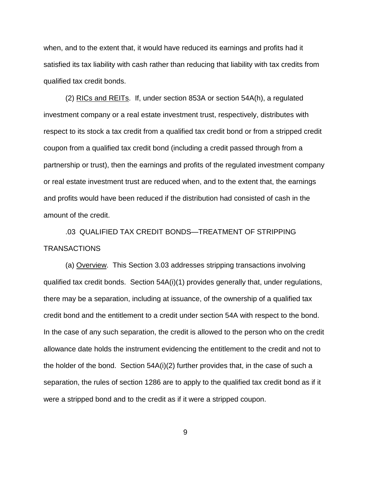when, and to the extent that, it would have reduced its earnings and profits had it satisfied its tax liability with cash rather than reducing that liability with tax credits from qualified tax credit bonds.

(2) RICs and REITs. If, under section 853A or section 54A(h), a regulated investment company or a real estate investment trust, respectively, distributes with respect to its stock a tax credit from a qualified tax credit bond or from a stripped credit coupon from a qualified tax credit bond (including a credit passed through from a partnership or trust), then the earnings and profits of the regulated investment company or real estate investment trust are reduced when, and to the extent that, the earnings and profits would have been reduced if the distribution had consisted of cash in the amount of the credit.

.03 QUALIFIED TAX CREDIT BONDS—TREATMENT OF STRIPPING TRANSACTIONS

(a) Overview. This Section 3.03 addresses stripping transactions involving qualified tax credit bonds. Section 54A(i)(1) provides generally that, under regulations, there may be a separation, including at issuance, of the ownership of a qualified tax credit bond and the entitlement to a credit under section 54A with respect to the bond. In the case of any such separation, the credit is allowed to the person who on the credit allowance date holds the instrument evidencing the entitlement to the credit and not to the holder of the bond. Section 54A(i)(2) further provides that, in the case of such a separation, the rules of section 1286 are to apply to the qualified tax credit bond as if it were a stripped bond and to the credit as if it were a stripped coupon.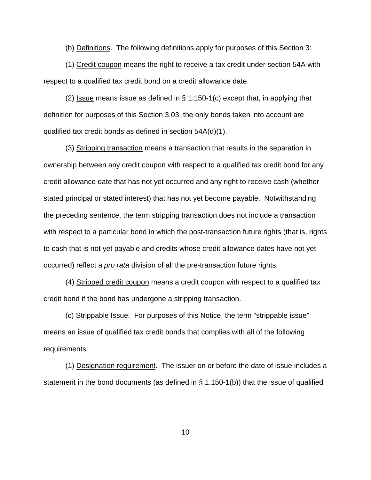(b) Definitions. The following definitions apply for purposes of this Section 3:

(1) Credit coupon means the right to receive a tax credit under section 54A with respect to a qualified tax credit bond on a credit allowance date.

(2) Issue means issue as defined in  $\S$  1.150-1(c) except that, in applying that definition for purposes of this Section 3.03, the only bonds taken into account are qualified tax credit bonds as defined in section 54A(d)(1).

(3) Stripping transaction means a transaction that results in the separation in ownership between any credit coupon with respect to a qualified tax credit bond for any credit allowance date that has not yet occurred and any right to receive cash (whether stated principal or stated interest) that has not yet become payable. Notwithstanding the preceding sentence, the term stripping transaction does not include a transaction with respect to a particular bond in which the post-transaction future rights (that is, rights to cash that is not yet payable and credits whose credit allowance dates have not yet occurred) reflect a *pro rata* division of all the pre-transaction future rights.

(4) Stripped credit coupon means a credit coupon with respect to a qualified tax credit bond if the bond has undergone a stripping transaction.

(c) Strippable Issue. For purposes of this Notice, the term "strippable issue" means an issue of qualified tax credit bonds that complies with all of the following requirements:

(1) Designation requirement. The issuer on or before the date of issue includes a statement in the bond documents (as defined in § 1.150-1(b)) that the issue of qualified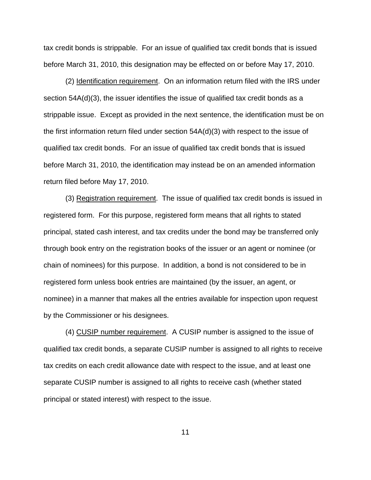tax credit bonds is strippable. For an issue of qualified tax credit bonds that is issued before March 31, 2010, this designation may be effected on or before May 17, 2010.

(2) Identification requirement. On an information return filed with the IRS under section 54A(d)(3), the issuer identifies the issue of qualified tax credit bonds as a strippable issue. Except as provided in the next sentence, the identification must be on the first information return filed under section 54A(d)(3) with respect to the issue of qualified tax credit bonds. For an issue of qualified tax credit bonds that is issued before March 31, 2010, the identification may instead be on an amended information return filed before May 17, 2010.

(3) Registration requirement. The issue of qualified tax credit bonds is issued in registered form. For this purpose, registered form means that all rights to stated principal, stated cash interest, and tax credits under the bond may be transferred only through book entry on the registration books of the issuer or an agent or nominee (or chain of nominees) for this purpose. In addition, a bond is not considered to be in registered form unless book entries are maintained (by the issuer, an agent, or nominee) in a manner that makes all the entries available for inspection upon request by the Commissioner or his designees.

(4) CUSIP number requirement. A CUSIP number is assigned to the issue of qualified tax credit bonds, a separate CUSIP number is assigned to all rights to receive tax credits on each credit allowance date with respect to the issue, and at least one separate CUSIP number is assigned to all rights to receive cash (whether stated principal or stated interest) with respect to the issue.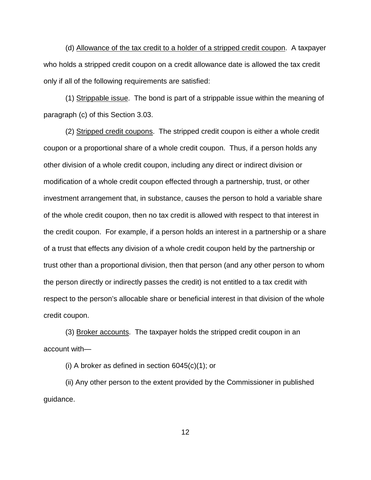(d) Allowance of the tax credit to a holder of a stripped credit coupon. A taxpayer who holds a stripped credit coupon on a credit allowance date is allowed the tax credit only if all of the following requirements are satisfied:

(1) Strippable issue. The bond is part of a strippable issue within the meaning of paragraph (c) of this Section 3.03.

(2) Stripped credit coupons. The stripped credit coupon is either a whole credit coupon or a proportional share of a whole credit coupon. Thus, if a person holds any other division of a whole credit coupon, including any direct or indirect division or modification of a whole credit coupon effected through a partnership, trust, or other investment arrangement that, in substance, causes the person to hold a variable share of the whole credit coupon, then no tax credit is allowed with respect to that interest in the credit coupon. For example, if a person holds an interest in a partnership or a share of a trust that effects any division of a whole credit coupon held by the partnership or trust other than a proportional division, then that person (and any other person to whom the person directly or indirectly passes the credit) is not entitled to a tax credit with respect to the person's allocable share or beneficial interest in that division of the whole credit coupon.

(3) Broker accounts. The taxpayer holds the stripped credit coupon in an account with—

(i) A broker as defined in section  $6045(c)(1)$ ; or

(ii) Any other person to the extent provided by the Commissioner in published guidance.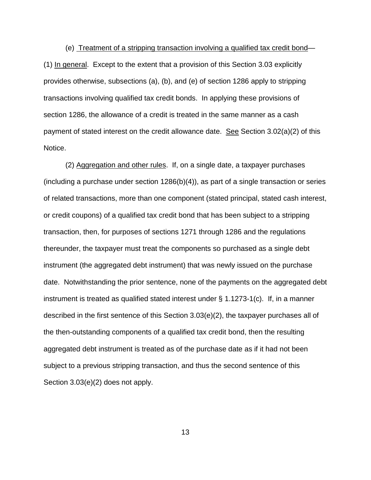(e) Treatment of a stripping transaction involving a qualified tax credit bond— (1) In general. Except to the extent that a provision of this Section 3.03 explicitly provides otherwise, subsections (a), (b), and (e) of section 1286 apply to stripping transactions involving qualified tax credit bonds. In applying these provisions of section 1286, the allowance of a credit is treated in the same manner as a cash payment of stated interest on the credit allowance date. See Section  $3.02(a)(2)$  of this Notice.

(2) Aggregation and other rules. If, on a single date, a taxpayer purchases (including a purchase under section 1286(b)(4)), as part of a single transaction or series of related transactions, more than one component (stated principal, stated cash interest, or credit coupons) of a qualified tax credit bond that has been subject to a stripping transaction, then, for purposes of sections 1271 through 1286 and the regulations thereunder, the taxpayer must treat the components so purchased as a single debt instrument (the aggregated debt instrument) that was newly issued on the purchase date. Notwithstanding the prior sentence, none of the payments on the aggregated debt instrument is treated as qualified stated interest under  $\S$  1.1273-1(c). If, in a manner described in the first sentence of this Section 3.03(e)(2), the taxpayer purchases all of the then-outstanding components of a qualified tax credit bond, then the resulting aggregated debt instrument is treated as of the purchase date as if it had not been subject to a previous stripping transaction, and thus the second sentence of this Section 3.03(e)(2) does not apply.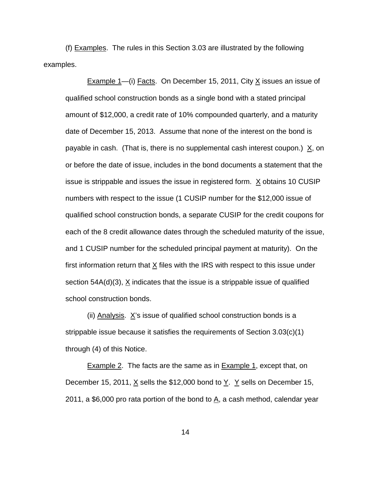(f) Examples. The rules in this Section 3.03 are illustrated by the following examples.

Example 1—(i) Facts. On December 15, 2011, City X issues an issue of qualified school construction bonds as a single bond with a stated principal amount of \$12,000, a credit rate of 10% compounded quarterly, and a maturity date of December 15, 2013. Assume that none of the interest on the bond is payable in cash. (That is, there is no supplemental cash interest coupon.)  $X$ , on or before the date of issue, includes in the bond documents a statement that the issue is strippable and issues the issue in registered form.  $X$  obtains 10 CUSIP numbers with respect to the issue (1 CUSIP number for the \$12,000 issue of qualified school construction bonds, a separate CUSIP for the credit coupons for each of the 8 credit allowance dates through the scheduled maturity of the issue, and 1 CUSIP number for the scheduled principal payment at maturity). On the first information return that  $\underline{X}$  files with the IRS with respect to this issue under section 54A(d)(3),  $X$  indicates that the issue is a strippable issue of qualified school construction bonds.

(ii) Analysis.  $X$ 's issue of qualified school construction bonds is a strippable issue because it satisfies the requirements of Section 3.03(c)(1) through (4) of this Notice.

Example 2. The facts are the same as in Example 1, except that, on December 15, 2011,  $\underline{X}$  sells the \$12,000 bond to  $\underline{Y}$ .  $\underline{Y}$  sells on December 15, 2011, a \$6,000 pro rata portion of the bond to  $\underline{A}$ , a cash method, calendar year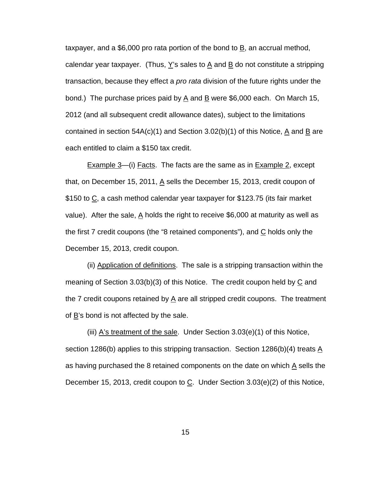taxpayer, and a \$6,000 pro rata portion of the bond to  $\underline{B}$ , an accrual method, calendar year taxpayer. (Thus,  $Y$ 's sales to  $\underline{A}$  and  $\underline{B}$  do not constitute a stripping transaction, because they effect a *pro rata* division of the future rights under the bond.) The purchase prices paid by  $\underline{A}$  and  $\underline{B}$  were \$6,000 each. On March 15, 2012 (and all subsequent credit allowance dates), subject to the limitations contained in section 54A(c)(1) and Section 3.02(b)(1) of this Notice, A and B are each entitled to claim a \$150 tax credit.

Example 3—(i) Facts. The facts are the same as in Example 2, except that, on December 15, 2011,  $\underline{A}$  sells the December 15, 2013, credit coupon of \$150 to C, a cash method calendar year taxpayer for \$123.75 (its fair market value). After the sale,  $\underline{A}$  holds the right to receive \$6,000 at maturity as well as the first 7 credit coupons (the "8 retained components"), and  $C$  holds only the December 15, 2013, credit coupon.

(ii) Application of definitions. The sale is a stripping transaction within the meaning of Section 3.03(b)(3) of this Notice. The credit coupon held by  $\underline{C}$  and the 7 credit coupons retained by  $\underline{A}$  are all stripped credit coupons. The treatment of  $\underline{B}$ 's bond is not affected by the sale.

(iii) A's treatment of the sale. Under Section 3.03(e)(1) of this Notice, section 1286(b) applies to this stripping transaction. Section 1286(b)(4) treats A as having purchased the 8 retained components on the date on which  $\underline{A}$  sells the December 15, 2013, credit coupon to  $C$ . Under Section 3.03(e)(2) of this Notice,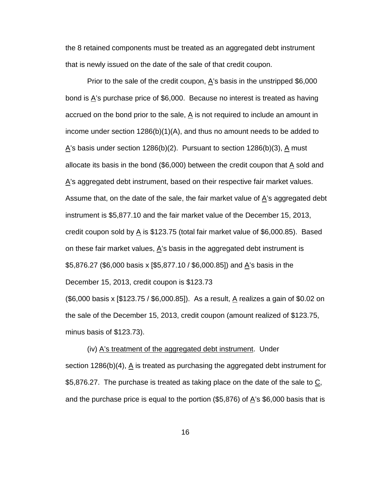the 8 retained components must be treated as an aggregated debt instrument that is newly issued on the date of the sale of that credit coupon.

Prior to the sale of the credit coupon,  $\underline{A}$ 's basis in the unstripped \$6,000 bond is  $\overline{A}$ 's purchase price of \$6,000. Because no interest is treated as having accrued on the bond prior to the sale,  $\underline{A}$  is not required to include an amount in income under section 1286(b)(1)(A), and thus no amount needs to be added to  $\Delta$ 's basis under section 1286(b)(2). Pursuant to section 1286(b)(3),  $\Delta$  must allocate its basis in the bond (\$6,000) between the credit coupon that  $\underline{A}$  sold and  $\overline{A}$ 's aggregated debt instrument, based on their respective fair market values. Assume that, on the date of the sale, the fair market value of  $\underline{A}$ 's aggregated debt instrument is \$5,877.10 and the fair market value of the December 15, 2013, credit coupon sold by  $\underline{A}$  is \$123.75 (total fair market value of \$6,000.85). Based on these fair market values,  $\underline{A}$ 's basis in the aggregated debt instrument is \$5,876.27 (\$6,000 basis x [\$5,877.10 / \$6,000.85]) and <u>A</u>'s basis in the December 15, 2013, credit coupon is \$123.73

(\$6,000 basis x [\$123.75 / \$6,000.85]). As a result, A realizes a gain of \$0.02 on the sale of the December 15, 2013, credit coupon (amount realized of \$123.75, minus basis of \$123.73).

(iv) A's treatment of the aggregated debt instrument. Under section 1286(b)(4),  $\underline{A}$  is treated as purchasing the aggregated debt instrument for \$5,876.27. The purchase is treated as taking place on the date of the sale to  $\underline{\mathtt{C}},$ and the purchase price is equal to the portion  $(\$5,876)$  of  $A$ 's  $\$6,000$  basis that is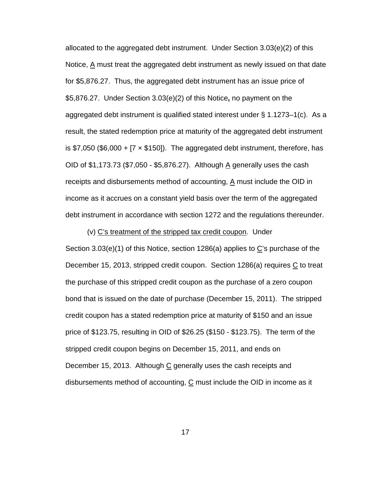allocated to the aggregated debt instrument. Under Section 3.03(e)(2) of this Notice, A must treat the aggregated debt instrument as newly issued on that date for \$5,876.27. Thus, the aggregated debt instrument has an issue price of \$5,876.27. Under Section 3.03(e)(2) of this Notice**,** no payment on the aggregated debt instrument is qualified stated interest under § 1.1273–1(c). As a result, the stated redemption price at maturity of the aggregated debt instrument is \$7,050 (\$6,000 +  $[7 \times $150]$ ). The aggregated debt instrument, therefore, has OID of \$1,173.73 (\$7,050 - \$5,876.27). Although A generally uses the cash receipts and disbursements method of accounting,  $A$  must include the OID in income as it accrues on a constant yield basis over the term of the aggregated debt instrument in accordance with section 1272 and the regulations thereunder.

(v) C's treatment of the stripped tax credit coupon. Under Section 3.03(e)(1) of this Notice, section 1286(a) applies to C's purchase of the December 15, 2013, stripped credit coupon. Section 1286(a) requires C to treat the purchase of this stripped credit coupon as the purchase of a zero coupon bond that is issued on the date of purchase (December 15, 2011). The stripped credit coupon has a stated redemption price at maturity of \$150 and an issue price of \$123.75, resulting in OID of \$26.25 (\$150 - \$123.75). The term of the stripped credit coupon begins on December 15, 2011, and ends on December 15, 2013. Although C generally uses the cash receipts and disbursements method of accounting,  $C$  must include the OID in income as it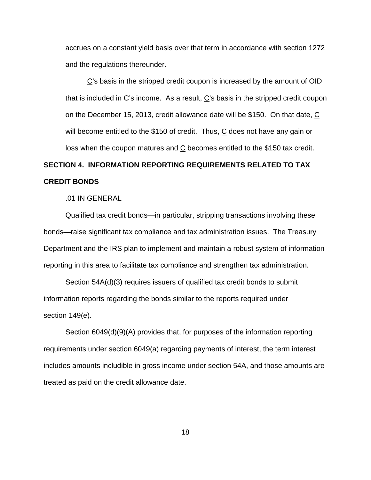accrues on a constant yield basis over that term in accordance with section 1272 and the regulations thereunder.

C's basis in the stripped credit coupon is increased by the amount of OID that is included in C's income. As a result,  $C$ 's basis in the stripped credit coupon on the December 15, 2013, credit allowance date will be \$150. On that date, C will become entitled to the \$150 of credit. Thus,  $C$  does not have any gain or loss when the coupon matures and C becomes entitled to the \$150 tax credit.

# **SECTION 4. INFORMATION REPORTING REQUIREMENTS RELATED TO TAX CREDIT BONDS**

.01 IN GENERAL

Qualified tax credit bonds—in particular, stripping transactions involving these bonds—raise significant tax compliance and tax administration issues. The Treasury Department and the IRS plan to implement and maintain a robust system of information reporting in this area to facilitate tax compliance and strengthen tax administration.

Section 54A(d)(3) requires issuers of qualified tax credit bonds to submit information reports regarding the bonds similar to the reports required under section 149(e).

Section 6049(d)(9)(A) provides that, for purposes of the information reporting requirements under section 6049(a) regarding payments of interest, the term interest includes amounts includible in gross income under section 54A, and those amounts are treated as paid on the credit allowance date.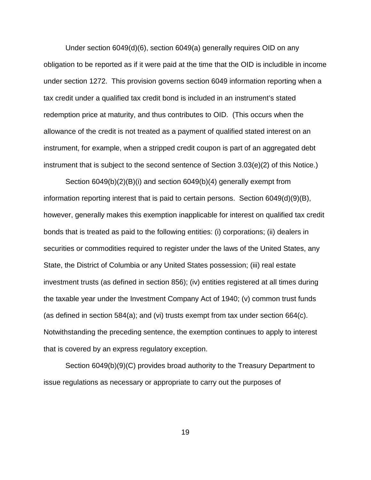Under section 6049(d)(6), section 6049(a) generally requires OID on any obligation to be reported as if it were paid at the time that the OID is includible in income under section 1272. This provision governs section 6049 information reporting when a tax credit under a qualified tax credit bond is included in an instrument's stated redemption price at maturity, and thus contributes to OID. (This occurs when the allowance of the credit is not treated as a payment of qualified stated interest on an instrument, for example, when a stripped credit coupon is part of an aggregated debt instrument that is subject to the second sentence of Section 3.03(e)(2) of this Notice.)

Section 6049(b)(2)(B)(i) and section 6049(b)(4) generally exempt from information reporting interest that is paid to certain persons. Section 6049(d)(9)(B), however, generally makes this exemption inapplicable for interest on qualified tax credit bonds that is treated as paid to the following entities: (i) corporations; (ii) dealers in securities or commodities required to register under the laws of the United States, any State, the District of Columbia or any United States possession; (iii) real estate investment trusts (as defined in section 856); (iv) entities registered at all times during the taxable year under the Investment Company Act of 1940; (v) common trust funds (as defined in section 584(a); and (vi) trusts exempt from tax under section  $664(c)$ . Notwithstanding the preceding sentence, the exemption continues to apply to interest that is covered by an express regulatory exception.

Section 6049(b)(9)(C) provides broad authority to the Treasury Department to issue regulations as necessary or appropriate to carry out the purposes of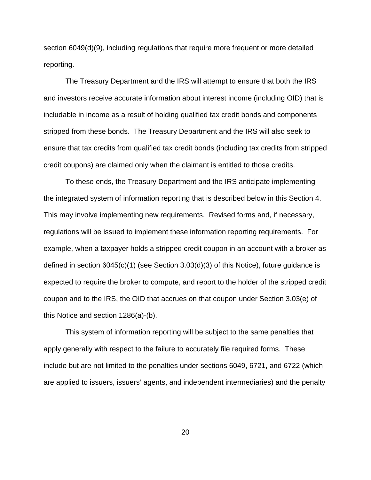section 6049(d)(9), including regulations that require more frequent or more detailed reporting.

The Treasury Department and the IRS will attempt to ensure that both the IRS and investors receive accurate information about interest income (including OID) that is includable in income as a result of holding qualified tax credit bonds and components stripped from these bonds. The Treasury Department and the IRS will also seek to ensure that tax credits from qualified tax credit bonds (including tax credits from stripped credit coupons) are claimed only when the claimant is entitled to those credits.

To these ends, the Treasury Department and the IRS anticipate implementing the integrated system of information reporting that is described below in this Section 4. This may involve implementing new requirements. Revised forms and, if necessary, regulations will be issued to implement these information reporting requirements. For example, when a taxpayer holds a stripped credit coupon in an account with a broker as defined in section 6045(c)(1) (see Section 3.03(d)(3) of this Notice), future guidance is expected to require the broker to compute, and report to the holder of the stripped credit coupon and to the IRS, the OID that accrues on that coupon under Section 3.03(e) of this Notice and section 1286(a)-(b).

This system of information reporting will be subject to the same penalties that apply generally with respect to the failure to accurately file required forms. These include but are not limited to the penalties under sections 6049, 6721, and 6722 (which are applied to issuers, issuers' agents, and independent intermediaries) and the penalty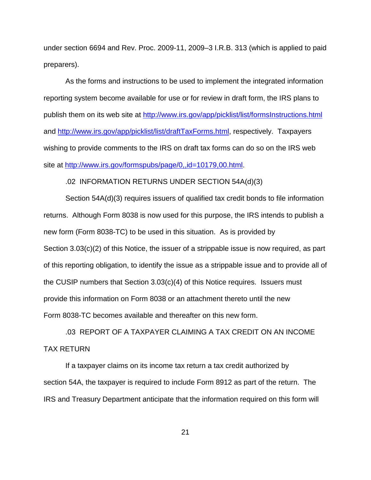under section 6694 and Rev. Proc. 2009-11, 2009–3 I.R.B. 313 (which is applied to paid preparers).

As the forms and instructions to be used to implement the integrated information reporting system become available for use or for review in draft form, the IRS plans to publish them on its web site at<http://www.irs.gov/app/picklist/list/formsInstructions.html> and [http://www.irs.gov/app/picklist/list/draftTaxForms.html,](http://www.irs.gov/app/picklist/list/draftTaxForms.html) respectively. Taxpayers wishing to provide comments to the IRS on draft tax forms can do so on the IRS web site at [http://www.irs.gov/formspubs/page/0,,id=10179,00.html.](http://www.irs.gov/formspubs/page/0,,id=10179,00.html)

### .02 INFORMATION RETURNS UNDER SECTION 54A(d)(3)

Section 54A(d)(3) requires issuers of qualified tax credit bonds to file information returns. Although Form 8038 is now used for this purpose, the IRS intends to publish a new form (Form 8038-TC) to be used in this situation. As is provided by Section 3.03(c)(2) of this Notice, the issuer of a strippable issue is now required, as part of this reporting obligation, to identify the issue as a strippable issue and to provide all of the CUSIP numbers that Section 3.03(c)(4) of this Notice requires. Issuers must provide this information on Form 8038 or an attachment thereto until the new Form 8038-TC becomes available and thereafter on this new form.

# .03 REPORT OF A TAXPAYER CLAIMING A TAX CREDIT ON AN INCOME TAX RETURN

If a taxpayer claims on its income tax return a tax credit authorized by section 54A, the taxpayer is required to include Form 8912 as part of the return. The IRS and Treasury Department anticipate that the information required on this form will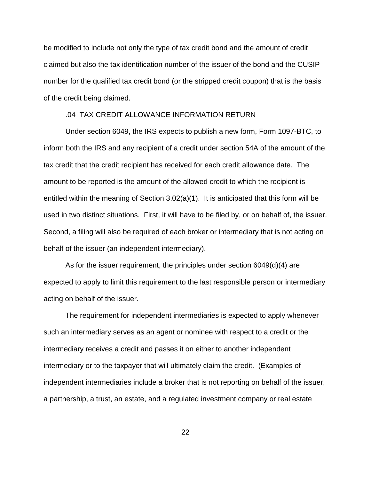be modified to include not only the type of tax credit bond and the amount of credit claimed but also the tax identification number of the issuer of the bond and the CUSIP number for the qualified tax credit bond (or the stripped credit coupon) that is the basis of the credit being claimed.

## .04 TAX CREDIT ALLOWANCE INFORMATION RETURN

Under section 6049, the IRS expects to publish a new form, Form 1097-BTC, to inform both the IRS and any recipient of a credit under section 54A of the amount of the tax credit that the credit recipient has received for each credit allowance date. The amount to be reported is the amount of the allowed credit to which the recipient is entitled within the meaning of Section 3.02(a)(1). It is anticipated that this form will be used in two distinct situations. First, it will have to be filed by, or on behalf of, the issuer. Second, a filing will also be required of each broker or intermediary that is not acting on behalf of the issuer (an independent intermediary).

As for the issuer requirement, the principles under section 6049(d)(4) are expected to apply to limit this requirement to the last responsible person or intermediary acting on behalf of the issuer.

The requirement for independent intermediaries is expected to apply whenever such an intermediary serves as an agent or nominee with respect to a credit or the intermediary receives a credit and passes it on either to another independent intermediary or to the taxpayer that will ultimately claim the credit. (Examples of independent intermediaries include a broker that is not reporting on behalf of the issuer, a partnership, a trust, an estate, and a regulated investment company or real estate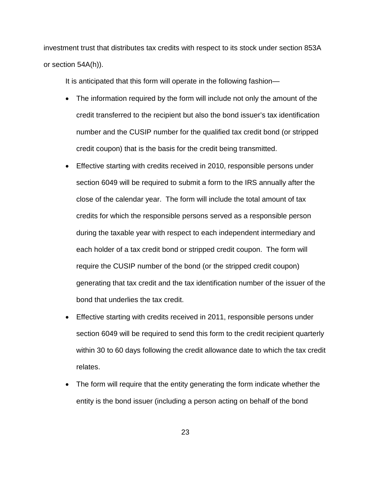investment trust that distributes tax credits with respect to its stock under section 853A or section 54A(h)).

It is anticipated that this form will operate in the following fashion—

- The information required by the form will include not only the amount of the credit transferred to the recipient but also the bond issuer's tax identification number and the CUSIP number for the qualified tax credit bond (or stripped credit coupon) that is the basis for the credit being transmitted.
- Effective starting with credits received in 2010, responsible persons under section 6049 will be required to submit a form to the IRS annually after the close of the calendar year. The form will include the total amount of tax credits for which the responsible persons served as a responsible person during the taxable year with respect to each independent intermediary and each holder of a tax credit bond or stripped credit coupon. The form will require the CUSIP number of the bond (or the stripped credit coupon) generating that tax credit and the tax identification number of the issuer of the bond that underlies the tax credit.
- Effective starting with credits received in 2011, responsible persons under section 6049 will be required to send this form to the credit recipient quarterly within 30 to 60 days following the credit allowance date to which the tax credit relates.
- The form will require that the entity generating the form indicate whether the entity is the bond issuer (including a person acting on behalf of the bond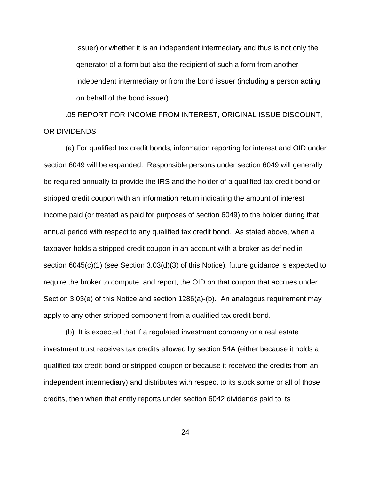issuer) or whether it is an independent intermediary and thus is not only the generator of a form but also the recipient of such a form from another independent intermediary or from the bond issuer (including a person acting on behalf of the bond issuer).

.05 REPORT FOR INCOME FROM INTEREST, ORIGINAL ISSUE DISCOUNT, OR DIVIDENDS

(a) For qualified tax credit bonds, information reporting for interest and OID under section 6049 will be expanded. Responsible persons under section 6049 will generally be required annually to provide the IRS and the holder of a qualified tax credit bond or stripped credit coupon with an information return indicating the amount of interest income paid (or treated as paid for purposes of section 6049) to the holder during that annual period with respect to any qualified tax credit bond. As stated above, when a taxpayer holds a stripped credit coupon in an account with a broker as defined in section 6045(c)(1) (see Section 3.03(d)(3) of this Notice), future guidance is expected to require the broker to compute, and report, the OID on that coupon that accrues under Section 3.03(e) of this Notice and section 1286(a)-(b). An analogous requirement may apply to any other stripped component from a qualified tax credit bond.

(b) It is expected that if a regulated investment company or a real estate investment trust receives tax credits allowed by section 54A (either because it holds a qualified tax credit bond or stripped coupon or because it received the credits from an independent intermediary) and distributes with respect to its stock some or all of those credits, then when that entity reports under section 6042 dividends paid to its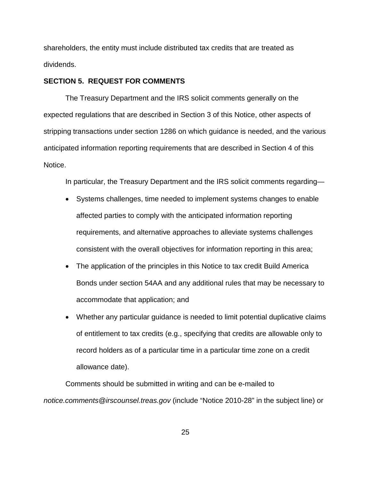shareholders, the entity must include distributed tax credits that are treated as dividends.

## **SECTION 5. REQUEST FOR COMMENTS**

The Treasury Department and the IRS solicit comments generally on the expected regulations that are described in Section 3 of this Notice, other aspects of stripping transactions under section 1286 on which guidance is needed, and the various anticipated information reporting requirements that are described in Section 4 of this Notice.

In particular, the Treasury Department and the IRS solicit comments regarding—

- Systems challenges, time needed to implement systems changes to enable affected parties to comply with the anticipated information reporting requirements, and alternative approaches to alleviate systems challenges consistent with the overall objectives for information reporting in this area;
- The application of the principles in this Notice to tax credit Build America Bonds under section 54AA and any additional rules that may be necessary to accommodate that application; and
- Whether any particular guidance is needed to limit potential duplicative claims of entitlement to tax credits (e.g., specifying that credits are allowable only to record holders as of a particular time in a particular time zone on a credit allowance date).

Comments should be submitted in writing and can be e-mailed to *notice.comments@irscounsel.treas.gov* (include "Notice 2010-28" in the subject line) or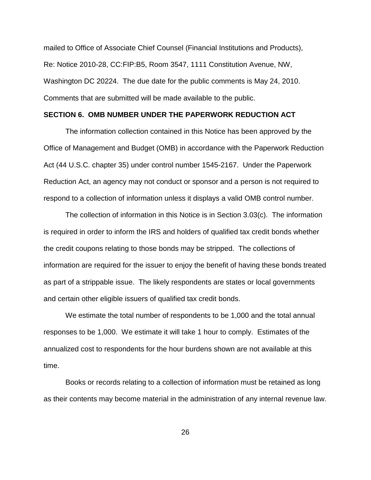mailed to Office of Associate Chief Counsel (Financial Institutions and Products), Re: Notice 2010-28, CC:FIP:B5, Room 3547, 1111 Constitution Avenue, NW, Washington DC 20224. The due date for the public comments is May 24, 2010. Comments that are submitted will be made available to the public.

## **SECTION 6. OMB NUMBER UNDER THE PAPERWORK REDUCTION ACT**

The information collection contained in this Notice has been approved by the Office of Management and Budget (OMB) in accordance with the Paperwork Reduction Act (44 U.S.C. chapter 35) under control number 1545-2167. Under the Paperwork Reduction Act, an agency may not conduct or sponsor and a person is not required to respond to a collection of information unless it displays a valid OMB control number.

The collection of information in this Notice is in Section 3.03(c). The information is required in order to inform the IRS and holders of qualified tax credit bonds whether the credit coupons relating to those bonds may be stripped. The collections of information are required for the issuer to enjoy the benefit of having these bonds treated as part of a strippable issue. The likely respondents are states or local governments and certain other eligible issuers of qualified tax credit bonds.

We estimate the total number of respondents to be 1,000 and the total annual responses to be 1,000. We estimate it will take 1 hour to comply. Estimates of the annualized cost to respondents for the hour burdens shown are not available at this time.

Books or records relating to a collection of information must be retained as long as their contents may become material in the administration of any internal revenue law.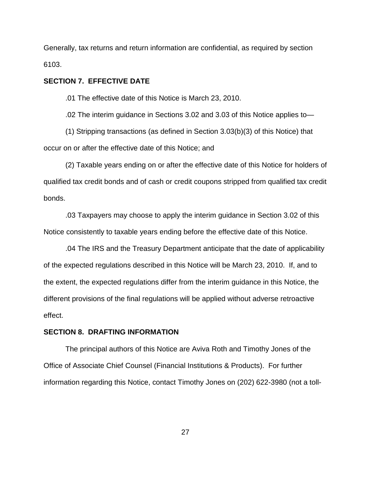Generally, tax returns and return information are confidential, as required by section 6103.

## **SECTION 7. EFFECTIVE DATE**

.01 The effective date of this Notice is March 23, 2010.

.02 The interim guidance in Sections 3.02 and 3.03 of this Notice applies to—

(1) Stripping transactions (as defined in Section 3.03(b)(3) of this Notice) that occur on or after the effective date of this Notice; and

(2) Taxable years ending on or after the effective date of this Notice for holders of qualified tax credit bonds and of cash or credit coupons stripped from qualified tax credit bonds.

.03 Taxpayers may choose to apply the interim guidance in Section 3.02 of this Notice consistently to taxable years ending before the effective date of this Notice.

.04 The IRS and the Treasury Department anticipate that the date of applicability of the expected regulations described in this Notice will be March 23, 2010. If, and to the extent, the expected regulations differ from the interim guidance in this Notice, the different provisions of the final regulations will be applied without adverse retroactive effect.

### **SECTION 8. DRAFTING INFORMATION**

The principal authors of this Notice are Aviva Roth and Timothy Jones of the Office of Associate Chief Counsel (Financial Institutions & Products). For further information regarding this Notice, contact Timothy Jones on (202) 622-3980 (not a toll-